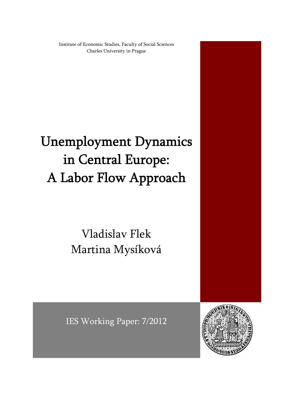Institute of Economic Studies, Faculty of Social Sciences Charles University in Prague

# Unemployment Dynamics in Central Europe: A Labor Flow Approach

## Vladislav Flek Martina Mysíková

IES Working Paper: 7/2012

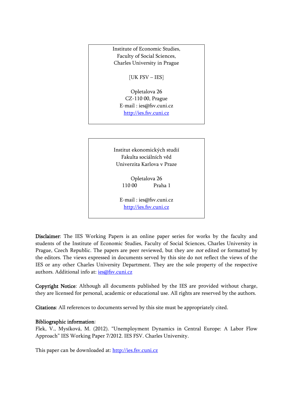

Opletalova 26 CZ-110 00, Prague E-mail : ies@fsv.cuni.cz

http://ies.fsv.cuni.cz

Institut ekonomických studií Fakulta sociálních věd Univerzita Karlova v Praze

> Opletalova 26 110 00 Praha 1

E-mail : ies@fsv.cuni.cz http://ies.fsv.cuni.cz

Disclaimer: The IES Working Papers is an online paper series for works by the faculty and students of the Institute of Economic Studies, Faculty of Social Sciences, Charles University in Prague, Czech Republic. The papers are peer reviewed, but they are *not* edited or formatted by the editors. The views expressed in documents served by this site do not reflect the views of the IES or any other Charles University Department. They are the sole property of the respective authors. Additional info at: ies@fsv.cuni.cz

Copyright Notice: Although all documents published by the IES are provided without charge, they are licensed for personal, academic or educational use. All rights are reserved by the authors.

Citations: All references to documents served by this site must be appropriately cited.

#### Bibliographic information:

Flek, V., Mysíková, M. (2012). "Unemployment Dynamics in Central Europe: A Labor Flow Approach" IES Working Paper 7/2012. IES FSV. Charles University.

This paper can be downloaded at: http://ies.fsv.cuni.cz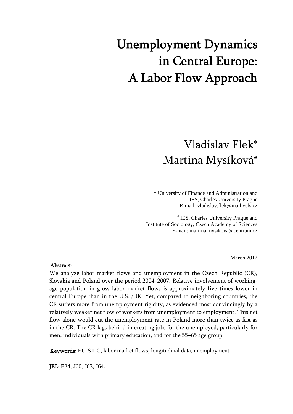# Unemployment Dynamics in Central Europe: A Labor Flow Approach

### Vladislav Flek\* Martina Mysíková#

 \* University of Finance and Administration and IES, Charles University Prague E-mail: vladislav.flek@mail.vsfs.cz

# IES, Charles University Prague and Institute of Sociology, Czech Academy of Sciences E-mail: martina.mysikova@centrum.cz

March 2012

#### Abstract:

We analyze labor market flows and unemployment in the Czech Republic (CR), Slovakia and Poland over the period 2004–2007. Relative involvement of workingage population in gross labor market flows is approximately five times lower in central Europe than in the U.S. /UK. Yet, compared to neighboring countries, the CR suffers more from unemployment rigidity, as evidenced most convincingly by a relatively weaker net flow of workers from unemployment to employment. This net flow alone would cut the unemployment rate in Poland more than twice as fast as in the CR. The CR lags behind in creating jobs for the unemployed, particularly for men, individuals with primary education, and for the 55–65 age group.

Keywords: EU-SILC, labor market flows, longitudinal data, unemployment

JEL: E24, J60, J63, J64.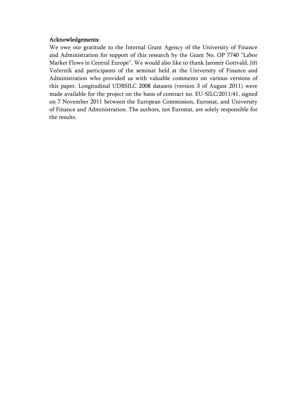#### Acknowledgements:

We owe our gratitude to the Internal Grant Agency of the University of Finance and Administration for support of this research by the Grant No. OP 7740 "Labor Market Flows in Central Europe". We would also like to thank Jaromír Gottvald, Jiří Večerník and participants of the seminar held at the University of Finance and Administration who provided us with valuable comments on various versions of this paper. Longitudinal UDBSILC 2008 datasets (version 3 of August 2011) were made available for the project on the basis of contract no. EU-SILC/2011/41, signed on 7 November 2011 between the European Commission, Eurostat, and University of Finance and Administration. The authors, not Eurostat, are solely responsible for the results.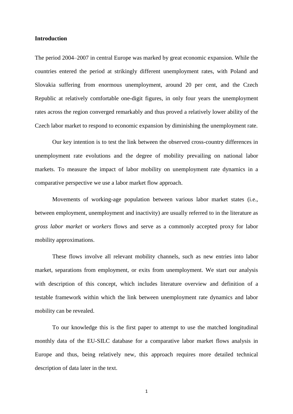#### **Introduction**

The period 2004–2007 in central Europe was marked by great economic expansion. While the countries entered the period at strikingly different unemployment rates, with Poland and Slovakia suffering from enormous unemployment, around 20 per cent, and the Czech Republic at relatively comfortable one-digit figures, in only four years the unemployment rates across the region converged remarkably and thus proved a relatively lower ability of the Czech labor market to respond to economic expansion by diminishing the unemployment rate.

Our key intention is to test the link between the observed cross-country differences in unemployment rate evolutions and the degree of mobility prevailing on national labor markets. To measure the impact of labor mobility on unemployment rate dynamics in a comparative perspective we use a labor market flow approach.

Movements of working-age population between various labor market states (i.e., between employment, unemployment and inactivity) are usually referred to in the literature as *gross labor market* or *workers* flows and serve as a commonly accepted proxy for labor mobility approximations.

These flows involve all relevant mobility channels, such as new entries into labor market, separations from employment, or exits from unemployment. We start our analysis with description of this concept, which includes literature overview and definition of a testable framework within which the link between unemployment rate dynamics and labor mobility can be revealed.

To our knowledge this is the first paper to attempt to use the matched longitudinal monthly data of the EU-SILC database for a comparative labor market flows analysis in Europe and thus, being relatively new, this approach requires more detailed technical description of data later in the text.

1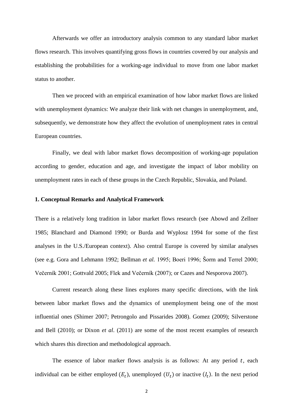Afterwards we offer an introductory analysis common to any standard labor market flows research. This involves quantifying gross flows in countries covered by our analysis and establishing the probabilities for a working-age individual to move from one labor market status to another.

Then we proceed with an empirical examination of how labor market flows are linked with unemployment dynamics: We analyze their link with net changes in unemployment, and, subsequently, we demonstrate how they affect the evolution of unemployment rates in central European countries.

Finally, we deal with labor market flows decomposition of working-age population according to gender, education and age, and investigate the impact of labor mobility on unemployment rates in each of these groups in the Czech Republic, Slovakia, and Poland.

#### **1. Conceptual Remarks and Analytical Framework**

There is a relatively long tradition in labor market flows research (see Abowd and Zellner 1985; Blanchard and Diamond 1990; or Burda and Wyplosz 1994 for some of the first analyses in the U.S./European context). Also central Europe is covered by similar analyses (see e.g. Gora and Lehmann 1992; Bellman *et al.* 1995; Boeri 1996; Šorm and Terrel 2000; Večerník 2001; Gottvald 2005; Flek and Večerník (2007); or Cazes and Nesporova 2007).

Current research along these lines explores many specific directions, with the link between labor market flows and the dynamics of unemployment being one of the most influential ones (Shimer 2007; Petrongolo and Pissarides 2008). Gomez (2009); Silverstone and Bell (2010); or Dixon *et al*. (2011) are some of the most recent examples of research which shares this direction and methodological approach.

The essence of labor marker flows analysis is as follows: At any period  $t$ , each individual can be either employed  $(E_t)$ , unemployed  $(U_t)$  or inactive  $(I_t)$ . In the next period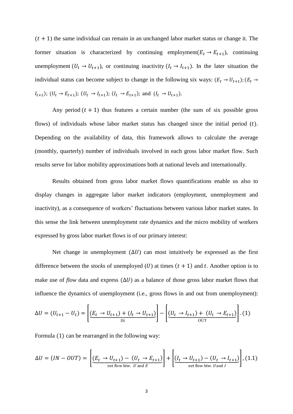$(t + 1)$  the same individual can remain in an unchanged labor market status or change it. The former situation is characterized by continuing employment  $(E_t \rightarrow E_{t+1})$ , continuing unemployment  $(U_t \rightarrow U_{t+1})$ , or continuing inactivity  $(I_t \rightarrow I_{t+1})$ . In the later situation the individual status can become subject to change in the following six ways:  $(E_t \rightarrow U_{t+1})$  $I_{t+1}$ );  $(U_t \rightarrow E_{t+1})$ ;  $(U_t \rightarrow I_{t+1})$ ;  $(I_t \rightarrow E_{t+1})$ ; and  $(I_t \rightarrow U_{t+1})$ .

Any period  $(t + 1)$  thus features a certain number (the sum of six possible gross flows) of individuals whose labor market status has changed since the initial period  $(t)$ . Depending on the availability of data, this framework allows to calculate the average (monthly, quarterly) number of individuals involved in each gross labor market flow. Such results serve for labor mobility approximations both at national levels and internationally.

Results obtained from gross labor market flows quantifications enable us also to display changes in aggregate labor market indicators (employment, unemployment and inactivity), as a consequence of workers' fluctuations between various labor market states. In this sense the link between unemployment rate dynamics and the micro mobility of workers expressed by gross labor market flows is of our primary interest:

Net change in unemployment  $(\Delta U)$  can most intuitively be expressed as the first difference between the *stocks* of unemployed  $(U)$  at times  $(t + 1)$  and t. Another option is to make use of *flow* data and express  $(\Delta U)$  as a balance of those gross labor market flows that influence the dynamics of unemployment (i.e., gross flows in and out from unemployment):

$$
\Delta U = (U_{t+1} - U_t) = \left[ \underbrace{(E_t \to U_{t+1}) + (I_t \to U_{t+1})}_{\text{IN}} \right] - \left[ \underbrace{(U_t \to I_{t+1}) + (U_t \to E_{t+1})}_{\text{OUT}} \right]. (1)
$$

Formula  $(1)$  can be rearranged in the following way:

$$
\Delta U = (IN - OUT) = \left[ \underbrace{(E_t \rightarrow U_{t+1}) - (U_t \rightarrow E_{t+1})}_{\text{net flow btw. } U \text{ and } E} \right] + \left[ \underbrace{(I_t \rightarrow U_{t+1}) - (U_t \rightarrow I_{t+1})}_{\text{net flow btw. } U \text{ and } I} \right], (1.1)
$$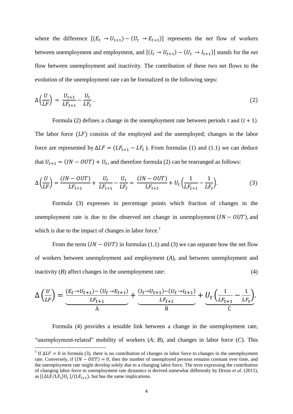where the difference  $[(E_t \rightarrow U_{t+1}) - (U_t \rightarrow E_{t+1})]$  represents the *net* flow of workers between unemployment and employment, and  $[(I_t \rightarrow U_{t+1}) - (U_t \rightarrow I_{t+1})]$  stands for the *net* flow between unemployment and inactivity. The contribution of these two net flows to the evolution of the unemployment rate can be formalized in the following steps:

$$
\Delta\left(\frac{U}{LF}\right) = \frac{U_{t+1}}{LF_{t+1}} - \frac{U_t}{LF_t} \,. \tag{2}
$$

Formula (2) defines a change in the unemployment rate between periods t and  $(t + 1)$ . The labor force  $(LF)$  consists of the employed and the unemployed; changes in the labor force are represented by  $\Delta LF = (LF_{t+1} - LF_t)$ . From formulas (1) and (1.1) we can deduce that  $U_{t+1} = (IN - OUT) + U_t$ , and therefore formula (2) can be rearranged as follows:

$$
\Delta \left( \frac{U}{LF} \right) = \frac{(IN - OUT)}{LF_{t+1}} + \frac{U_t}{LF_{t+1}} - \frac{U_t}{LF_t} = \frac{(IN - OUT)}{LF_{t+1}} + U_t \left( \frac{1}{LF_{t+1}} - \frac{1}{LF_t} \right).
$$
(3)

Formula (3) expresses in percentage points which fraction of changes in the unemployment rate is due to the observed net change in unemployment  $(IN - OUT)$ , and which is due to the impact of changes in labor force.<sup>1</sup>

From the term  $(IN - OUT)$  in formulas (1.1) and (3) we can separate how the net flow of workers between unemployment and employment (*A*), and between unemployment and inactivity  $(B)$  affect changes in the unemployment rate: (4)

$$
\Delta\left(\frac{U}{LF}\right) = \underbrace{\frac{(E_t \to U_{t+1}) - (U_t \to E_{t+1})}{LF_{t+1}}}_{A} + \underbrace{\frac{(I_t \to U_{t+1}) - (U_t \to I_{t+1})}{LF_{t+1}}}_{B} + \underbrace{U_t \left(\frac{1}{LF_{t+1}} - \frac{1}{LF_t}\right)}_{C}.
$$

Formula (4) provides a testable link between a change in the unemployment rate, "unemployment-related" mobility of workers (*A*; *B*), and changes in labor force (*C*). This

<sup>&</sup>lt;sup>1</sup> If  $\Delta L F = 0$  in formula (3), there is no contribution of changes in labor force to changes in the unemployment rate. Conversely, if  $(IN - OUT) = 0$ , then the number of unemployed persons remains constant over time, and the unemployment rate might develop solely due to a changing labor force. The term expressing the contribution of changing labor force to unemployment rate dynamics is derived somewhat differently by Dixon *et al*. (2011), as  $[(\Delta LF/LF_t)U_t]/(LF_{t+1})$ , but has the same implications.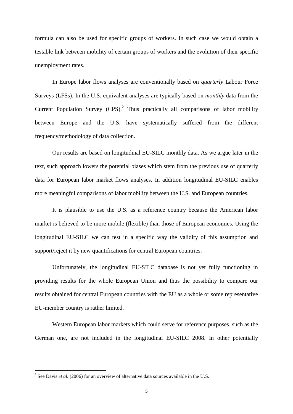formula can also be used for specific groups of workers. In such case we would obtain a testable link between mobility of certain groups of workers and the evolution of their specific unemployment rates.

In Europe labor flows analyses are conventionally based on *quarterly* Labour Force Surveys (LFSs). In the U.S. equivalent analyses are typically based on *monthly* data from the Current Population Survey  $(CPS)$ .<sup>2</sup> Thus practically all comparisons of labor mobility between Europe and the U.S. have systematically suffered from the different frequency/methodology of data collection.

Our results are based on longitudinal EU-SILC monthly data. As we argue later in the text, such approach lowers the potential biases which stem from the previous use of quarterly data for European labor market flows analyses. In addition longitudinal EU-SILC enables more meaningful comparisons of labor mobility between the U.S. and European countries.

It is plausible to use the U.S. as a reference country because the American labor market is believed to be more mobile (flexible) than those of European economies. Using the longitudinal EU-SILC we can test in a specific way the validity of this assumption and support/reject it by new quantifications for central European countries.

Unfortunately, the longitudinal EU-SILC database is not yet fully functioning in providing results for the whole European Union and thus the possibility to compare our results obtained for central European countries with the EU as a whole or some representative EU-member country is rather limited.

Western European labor markets which could serve for reference purposes, such as the German one, are not included in the longitudinal EU-SILC 2008. In other potentially

<sup>&</sup>lt;sup>2</sup> See Davis *et al.* (2006) for an overview of alternative data sources available in the U.S.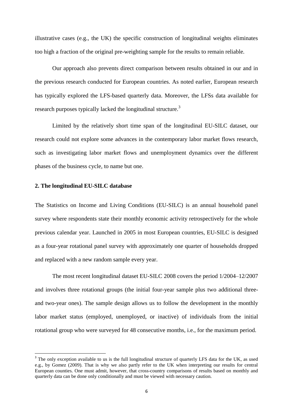illustrative cases (e.g., the UK) the specific construction of longitudinal weights eliminates too high a fraction of the original pre-weighting sample for the results to remain reliable.

Our approach also prevents direct comparison between results obtained in our and in the previous research conducted for European countries. As noted earlier, European research has typically explored the LFS-based quarterly data. Moreover, the LFSs data available for research purposes typically lacked the longitudinal structure.<sup>3</sup>

Limited by the relatively short time span of the longitudinal EU-SILC dataset, our research could not explore some advances in the contemporary labor market flows research, such as investigating labor market flows and unemployment dynamics over the different phases of the business cycle, to name but one.

#### **2. The longitudinal EU-SILC database**

 $\overline{\phantom{a}}$ 

The Statistics on Income and Living Conditions (EU-SILC) is an annual household panel survey where respondents state their monthly economic activity retrospectively for the whole previous calendar year. Launched in 2005 in most European countries, EU-SILC is designed as a four-year rotational panel survey with approximately one quarter of households dropped and replaced with a new random sample every year.

The most recent longitudinal dataset EU-SILC 2008 covers the period 1/2004–12/2007 and involves three rotational groups (the initial four-year sample plus two additional threeand two-year ones). The sample design allows us to follow the development in the monthly labor market status (employed, unemployed, or inactive) of individuals from the initial rotational group who were surveyed for 48 consecutive months, i.e., for the maximum period.

<sup>&</sup>lt;sup>3</sup> The only exception available to us is the full longitudinal structure of quarterly LFS data for the UK, as used e.g., by Gomez (2009). That is why we also partly refer to the UK when interpreting our results for central European counties. One must admit, however, that cross-country comparisons of results based on monthly and quarterly data can be done only conditionally and must be viewed with necessary caution.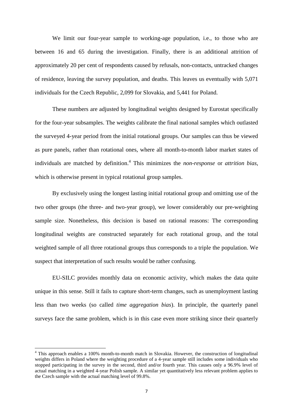We limit our four-year sample to working-age population, i.e., to those who are between 16 and 65 during the investigation. Finally, there is an additional attrition of approximately 20 per cent of respondents caused by refusals, non-contacts, untracked changes of residence, leaving the survey population, and deaths. This leaves us eventually with 5,071 individuals for the Czech Republic, 2,099 for Slovakia, and 5,441 for Poland.

These numbers are adjusted by longitudinal weights designed by Eurostat specifically for the four-year subsamples. The weights calibrate the final national samples which outlasted the surveyed 4-year period from the initial rotational groups. Our samples can thus be viewed as pure panels, rather than rotational ones, where all month-to-month labor market states of individuals are matched by definition.<sup>4</sup> This minimizes the *non-response* or *attrition bias*, which is otherwise present in typical rotational group samples.

By exclusively using the longest lasting initial rotational group and omitting use of the two other groups (the three- and two-year group), we lower considerably our pre-weighting sample size. Nonetheless, this decision is based on rational reasons: The corresponding longitudinal weights are constructed separately for each rotational group, and the total weighted sample of all three rotational groups thus corresponds to a triple the population. We suspect that interpretation of such results would be rather confusing.

EU-SILC provides monthly data on economic activity, which makes the data quite unique in this sense. Still it fails to capture short-term changes, such as unemployment lasting less than two weeks (so called *time aggregation bias*). In principle, the quarterly panel surveys face the same problem, which is in this case even more striking since their quarterly

<sup>4</sup> This approach enables a 100% month-to-month match in Slovakia. However, the construction of longitudinal weights differs in Poland where the weighting procedure of a 4-year sample still includes some individuals who stopped participating in the survey in the second, third and/or fourth year. This causes only a 96.9% level of actual matching in a weighted 4-year Polish sample. A similar yet quantitatively less relevant problem applies to the Czech sample with the actual matching level of 99.8%.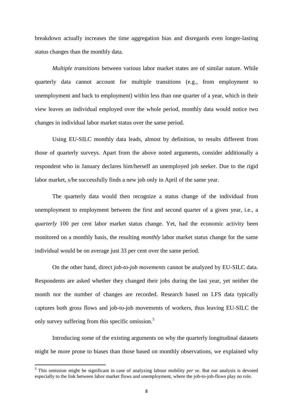breakdown actually increases the time aggregation bias and disregards even longer-lasting status changes than the monthly data.

*Multiple transitions* between various labor market states are of similar nature. While quarterly data cannot account for multiple transitions (e.g., from employment to unemployment and back to employment) within less than one quarter of a year, which in their view leaves an individual employed over the whole period, monthly data would notice two changes in individual labor market status over the same period.

Using EU-SILC monthly data leads, almost by definition, to results different from those of quarterly surveys. Apart from the above noted arguments, consider additionally a respondent who in January declares him/herself an unemployed job seeker. Due to the rigid labor market, s/he successfully finds a new job only in April of the same year.

The quarterly data would then recognize a status change of the individual from unemployment to employment between the first and second quarter of a given year, i.e., a *quarterly* 100 per cent labor market status change. Yet, had the economic activity been monitored on a monthly basis, the resulting *monthly* labor market status change for the same individual would be on average just 33 per cent over the same period.

On the other hand, direct *job-to-job movements* cannot be analyzed by EU-SILC data. Respondents are asked whether they changed their jobs during the last year, yet neither the month nor the number of changes are recorded. Research based on LFS data typically captures both gross flows and job-to-job movements of workers, thus leaving EU-SILC the only survey suffering from this specific omission.<sup>5</sup>

Introducing some of the existing arguments on why the quarterly longitudinal datasets might be more prone to biases than those based on monthly observations, we explained why

 5 This omission might be significant in case of analyzing labour mobility *per se*. But our analysis is devoted especially to the link between labor market flows and unemployment, where the job-to-job-flows play no role.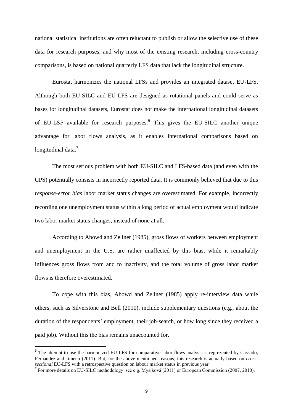national statistical institutions are often reluctant to publish or allow the selective use of these data for research purposes, and why most of the existing research, including cross-country comparisons, is based on national quarterly LFS data that lack the longitudinal structure.

Eurostat harmonizes the national LFSs and provides an integrated dataset EU-LFS. Although both EU-SILC and EU-LFS are designed as rotational panels and could serve as bases for longitudinal datasets, Eurostat does not make the international longitudinal datasets of EU-LSF available for research purposes.<sup>6</sup> This gives the EU-SILC another unique advantage for labor flows analysis, as it enables international comparisons based on longitudinal data.<sup>7</sup>

The most serious problem with both EU-SILC and LFS-based data (and even with the CPS) potentially consists in incorrectly reported data. It is commonly believed that due to this *response-error bias* labor market status changes are overestimated. For example, incorrectly recording one unemployment status within a long period of actual employment would indicate two labor market status changes, instead of none at all.

According to Abowd and Zellner (1985), gross flows of workers between employment and unemployment in the U.S. are rather unaffected by this bias, while it remarkably influences gross flows from and to inactivity, and the total volume of gross labor market flows is therefore overestimated.

To cope with this bias, Abowd and Zellner (1985) apply re-interview data while others, such as Silverstone and Bell (2010), include supplementary questions (e.g., about the duration of the respondents' employment, their job-search, or how long since they received a paid job). Without this the bias remains unaccounted for.

 $\overline{a}$ 

<sup>&</sup>lt;sup>6</sup> The attempt to use the harmonized EU-LFS for comparative labor flows analysis is reprezented by Cassado, Fernandez and Jimeno (2011). But, for the above mentioned reasons, this research is actually based on *crosssectional* EU-LFS with a retrospective question on labour market status in previous year.

<sup>&</sup>lt;sup>7</sup> For more details on EU-SILC methodology see e.g. Mysíková (2011) or European Commission (2007, 2010).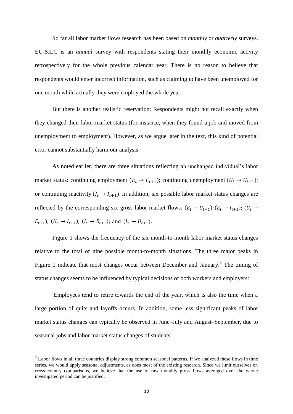So far all labor market flows research has been based on *monthly* or *quarterly* surveys. EU-SILC is an *annual* survey with respondents stating their monthly economic activity retrospectively for the whole previous calendar year. There is no reason to believe that respondents would enter incorrect information, such as claiming to have been unemployed for one month while actually they were employed the whole year.

But there is another realistic reservation: Respondents might not recall exactly when they changed their labor market status (for instance, when they found a job and moved from unemployment to employment). However, as we argue later in the text, this kind of potential error cannot substantially harm our analysis.

As noted earlier, there are three situations reflecting an unchanged individual's labor market status: continuing employment  $(E_t \rightarrow E_{t+1})$ ; continuing unemployment  $(U_t \rightarrow U_{t+1})$ ; or continuing inactivity  $(I_t \rightarrow I_{t+1})$ . In addition, six possible labor market status changes are reflected by the corresponding six gross labor market flows:  $(E_t \rightarrow U_{t+1})$ ;  $(E_t \rightarrow I_{t+1})$  $E_{t+1}$ );  $(U_t \to I_{t+1})$ ;  $(I_t \to E_{t+1})$ ; and  $(I_t \to U_{t+1})$ .

Figure 1 shows the frequency of the six month-to-month labor market status changes relative to the total of nine possible month-to-month situations. The three major peaks in Figure 1 indicate that most changes occur between December and January.<sup>8</sup> The timing of status changes seems to be influenced by typical decisions of both workers and employers:

Employees tend to retire towards the end of the year, which is also the time when a large portion of quits and layoffs occurs. In addition, some less significant peaks of labor market status changes can typically be observed in June–July and August–September, due to seasonal jobs and labor market status changes of students.

l

<sup>&</sup>lt;sup>8</sup> Labor flows in all three countries display strong common seasonal patterns. If we analyzed these flows in time series, we would apply seasonal adjustments, as does most of the existing research. Since we limit ourselves on cross-country comparisons, we believe that the use of raw monthly gross flows averaged over the whole investigated period can be justified.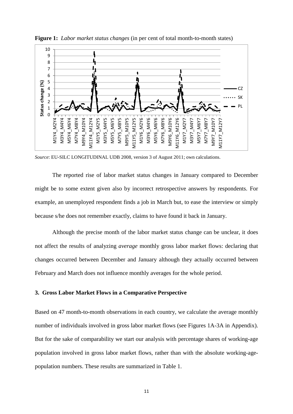

**Figure 1:** *Labor market status changes* (in per cent of total month-to-month states)

*Source*: EU-SILC LONGITUDINAL UDB 2008, version 3 of August 2011; own calculations.

The reported rise of labor market status changes in January compared to December might be to some extent given also by incorrect retrospective answers by respondents. For example, an unemployed respondent finds a job in March but, to ease the interview or simply because s/he does not remember exactly, claims to have found it back in January.

Although the precise month of the labor market status change can be unclear, it does not affect the results of analyzing *average* monthly gross labor market flows: declaring that changes occurred between December and January although they actually occurred between February and March does not influence monthly averages for the whole period.

#### **3. Gross Labor Market Flows in a Comparative Perspective**

Based on 47 month-to-month observations in each country, we calculate the average monthly number of individuals involved in gross labor market flows (see Figures 1A-3A in Appendix). But for the sake of comparability we start our analysis with percentage shares of working-age population involved in gross labor market flows, rather than with the absolute working-agepopulation numbers. These results are summarized in Table 1.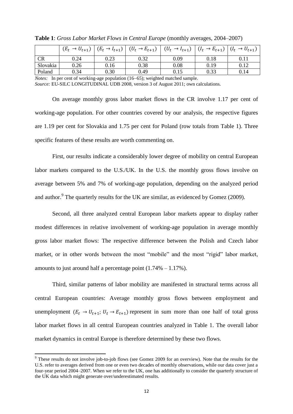|          | $\rightarrow U_{t+1}$<br>$(E_t)$ | $(E_t \rightarrow I_{t+1})$ | $(U_t \rightarrow E_{t+1})$ | $(U_t \rightarrow I_{t+1})$ | $(I_t)$<br>$\rightarrow E_{t+1}$ | $(I_t \rightarrow U_{t+1})$ |
|----------|----------------------------------|-----------------------------|-----------------------------|-----------------------------|----------------------------------|-----------------------------|
| CR       | 0.24                             | 0.23                        | 0.32                        | 0.09                        | 0.18                             | 0.11                        |
| Slovakia | 0.26                             | 0.16                        | 0.38                        | 0.08                        | 0.19                             | 0.12                        |
| Poland   | 0.34                             | 0.30                        | 0.49                        | 0.15                        | 0.33                             | 0.14                        |

**Table 1**: *Gross Labor Market Flows in Central Europe* (monthly averages, 2004–2007)

*Notes:* In per cent of working-age population (16–65); weighted matched sample.

*Source:* EU-SILC LONGITUDINAL UDB 2008, version 3 of August 2011; own calculations.

On average monthly gross labor market flows in the CR involve 1.17 per cent of working-age population. For other countries covered by our analysis, the respective figures are 1.19 per cent for Slovakia and 1.75 per cent for Poland (row totals from Table 1). Three specific features of these results are worth commenting on.

First, our results indicate a considerably lower degree of mobility on central European labor markets compared to the U.S./UK. In the U.S. the monthly gross flows involve on average between 5% and 7% of working-age population, depending on the analyzed period and author.<sup>9</sup> The quarterly results for the UK are similar, as evidenced by Gomez (2009).

Second, all three analyzed central European labor markets appear to display rather modest differences in relative involvement of working-age population in average monthly gross labor market flows: The respective difference between the Polish and Czech labor market, or in other words between the most "mobile" and the most "rigid" labor market, amounts to just around half a percentage point  $(1.74\% - 1.17\%)$ .

Third, similar patterns of labor mobility are manifested in structural terms across all central European countries: Average monthly gross flows between employment and unemployment  $(E_t \rightarrow U_{t+1}; U_t \rightarrow E_{t+1})$  represent in sum more than one half of total gross labor market flows in all central European countries analyzed in Table 1. The overall labor market dynamics in central Europe is therefore determined by these two flows.

 $9$  These results do not involve job-to-job flows (see Gomez 2009 for an overview). Note that the results for the U.S. refer to averages derived from one or even two decades of monthly observations, while our data cover just a four-year period 2004–2007. When we refer to the UK, one has additionally to consider the quarterly structure of the UK data which might generate over/underestimated results.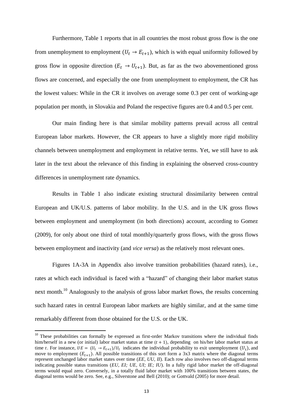Furthermore, Table 1 reports that in all countries the most robust gross flow is the one from unemployment to employment  $(U_t \rightarrow E_{t+1})$ , which is with equal uniformity followed by gross flow in opposite direction ( $E_t \rightarrow U_{t+1}$ ). But, as far as the two abovementioned gross flows are concerned, and especially the one from unemployment to employment, the CR has the lowest values: While in the CR it involves on average some 0.3 per cent of working-age population per month, in Slovakia and Poland the respective figures are 0.4 and 0.5 per cent.

Our main finding here is that similar mobility patterns prevail across all central European labor markets. However, the CR appears to have a slightly more rigid mobility channels between unemployment and employment in relative terms. Yet, we still have to ask later in the text about the relevance of this finding in explaining the observed cross-country differences in unemployment rate dynamics.

Results in Table 1 also indicate existing structural dissimilarity between central European and UK/U.S. patterns of labor mobility. In the U.S. and in the UK gross flows between employment and unemployment (in both directions) account, according to Gomez (2009), for only about one third of total monthly/quarterly gross flows, with the gross flows between employment and inactivity (and *vice versa*) as the relatively most relevant ones.

Figures 1A-3A in Appendix also involve transition probabilities (hazard rates), i.e., rates at which each individual is faced with a "hazard" of changing their labor market status next month.<sup>10</sup> Analogously to the analysis of gross labor market flows, the results concerning such hazard rates in central European labor markets are highly similar, and at the same time remarkably different from those obtained for the U.S. or the UK.

<sup>&</sup>lt;sup>10</sup> These probabilities can formally be expressed as first-order Markov transitions where the individual finds him/herself in a new (or initial) labor market status at time  $(t + 1)$ , depending on his/her labor market status at time t. For instance,  $UE = (U_t \rightarrow E_{t+1})/U_t$  indicates the individual probability to exit unemployment  $(U_t)$ , and move to employment  $(E_{t+1})$ . All possible transitions of this sort form a 3x3 matrix where the diagonal terms represent unchanged labor market states over time (*EE, UU, II*). Each row also involves two off-diagonal terms indicating possible status transitions (*EU, EI; UE, UI; IE; IU*). In a fully rigid labor market the off-diagonal terms would equal zero. Conversely, in a totally fluid labor market with 100% transitions between states, the diagonal terms would be zero. See, e.g., Silverstone and Bell (2010); or Gottvald (2005) for more detail.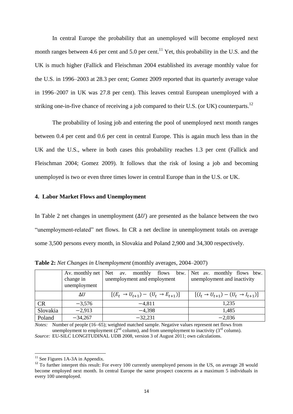In central Europe the probability that an unemployed will become employed next month ranges between 4.6 per cent and 5.0 per cent.<sup>11</sup> Yet, this probability in the U.S. and the UK is much higher (Fallick and Fleischman 2004 established its average monthly value for the U.S. in 1996–2003 at 28.3 per cent; Gomez 2009 reported that its quarterly average value in 1996–2007 in UK was 27.8 per cent). This leaves central European unemployed with a striking one-in-five chance of receiving a job compared to their U.S. (or UK) counterparts.<sup>12</sup>

The probability of losing job and entering the pool of unemployed next month ranges between 0.4 per cent and 0.6 per cent in central Europe. This is again much less than in the UK and the U.S., where in both cases this probability reaches 1.3 per cent (Fallick and Fleischman 2004; Gomez 2009). It follows that the risk of losing a job and becoming unemployed is two or even three times lower in central Europe than in the U.S. or UK.

#### **4. Labor Market Flows and Unemployment**

In Table 2 net changes in unemployment  $(\Delta U)$  are presented as the balance between the two "unemployment-related" net flows. In CR a net decline in unemployment totals on average some 3,500 persons every month, in Slovakia and Poland 2,900 and 34,300 respectively.

|          | change in<br>unemployment | Av. monthly net   Net av. monthly flows btw.<br>unemployment and employment | Net av. monthly flows btw.<br>unemployment and inactivity |
|----------|---------------------------|-----------------------------------------------------------------------------|-----------------------------------------------------------|
|          | $\Delta U$                | $[(E_t \rightarrow U_{t+1}) - (U_t \rightarrow E_{t+1})]$                   | $[(I_t \rightarrow U_{t+1}) - (U_t \rightarrow I_{t+1})]$ |
| CR       | $-3,576$                  | $-4,811$                                                                    | 1,235                                                     |
| Slovakia | $-2,913$                  | $-4.398$                                                                    | 1,485                                                     |
| Poland   | $-34,267$                 | $-32,231$                                                                   | $-2,036$                                                  |

**Table 2:** *Net Changes in Unemployment* (monthly averages, 2004–2007)

*Notes:* Number of people (16–65); weighted matched sample. Negative values represent net flows from unemployment to employment  $(2^{nd}$  column), and from unemployment to inactivity  $(3^{rd}$  column).

*Source:* EU-SILC LONGITUDINAL UDB 2008, version 3 of August 2011; own calculations.

 $11$  See Figures 1A-3A in Appendix.

<sup>&</sup>lt;sup>12</sup> To further interpret this result: For every 100 currently unemployed persons in the US, on average 28 would become employed next month. In central Europe the same prospect concerns as a maximum 5 individuals in every 100 unemployed.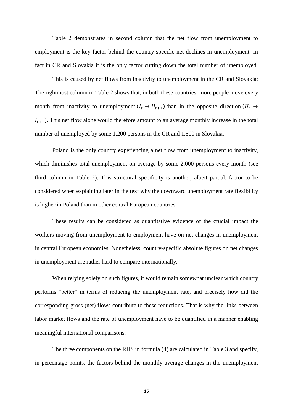Table 2 demonstrates in second column that the net flow from unemployment to employment is the key factor behind the country-specific net declines in unemployment. In fact in CR and Slovakia it is the only factor cutting down the total number of unemployed.

This is caused by net flows from inactivity to unemployment in the CR and Slovakia: The rightmost column in Table 2 shows that, in both these countries, more people move every month from inactivity to unemployment  $(I_t \rightarrow U_{t+1})$  than in the opposite direction (  $I_{t+1}$ ). This net flow alone would therefore amount to an average monthly increase in the total number of unemployed by some 1,200 persons in the CR and 1,500 in Slovakia.

Poland is the only country experiencing a net flow from unemployment to inactivity, which diminishes total unemployment on average by some 2,000 persons every month (see third column in Table 2). This structural specificity is another, albeit partial, factor to be considered when explaining later in the text why the downward unemployment rate flexibility is higher in Poland than in other central European countries.

These results can be considered as quantitative evidence of the crucial impact the workers moving from unemployment to employment have on net changes in unemployment in central European economies. Nonetheless, country-specific absolute figures on net changes in unemployment are rather hard to compare internationally.

When relying solely on such figures, it would remain somewhat unclear which country performs "better" in terms of reducing the unemployment rate, and precisely how did the corresponding gross (net) flows contribute to these reductions. That is why the links between labor market flows and the rate of unemployment have to be quantified in a manner enabling meaningful international comparisons.

The three components on the RHS in formula (4) are calculated in Table 3 and specify, in percentage points, the factors behind the monthly average changes in the unemployment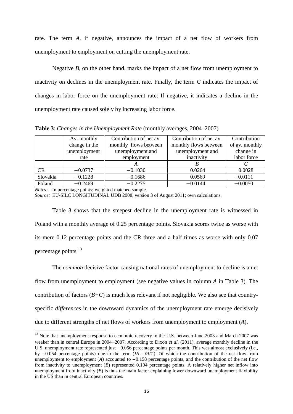rate. The term *A*, if negative, announces the impact of a net flow of workers from unemployment to employment on cutting the unemployment rate.

Negative *B*, on the other hand, marks the impact of a net flow from unemployment to inactivity on declines in the unemployment rate. Finally, the term *C* indicates the impact of changes in labor force on the unemployment rate: If negative, it indicates a decline in the unemployment rate caused solely by increasing labor force.

**Table 3**: *Changes in the Unemployment Rate* (monthly averages, 2004–2007)

|          | Av. monthly   | Contribution of net av. | Contribution of net av. | Contribution   |
|----------|---------------|-------------------------|-------------------------|----------------|
|          | change in the | monthly flows between   | monthly flows between   | of av. monthly |
|          | unemployment  | unemployment and        | unemployment and        | change in      |
|          | rate          | employment              | inactivity              | labor force    |
|          |               |                         |                         |                |
| CR       | $-0.0737$     | $-0.1030$               | 0.0264                  | 0.0028         |
| Slovakia | $-0.1228$     | $-0.1686$               | 0.0569                  | $-0.0111$      |
| Poland   | $-0.2469$     | $-0.2275$               | $-0.0144$               | $-0.0050$      |

*Notes:* In percentage points; weighted matched sample.

 $\overline{\phantom{a}}$ 

*Source:* EU-SILC LONGITUDINAL UDB 2008, version 3 of August 2011; own calculations.

Table 3 shows that the steepest decline in the unemployment rate is witnessed in Poland with a monthly average of 0.25 percentage points. Slovakia scores twice as worse with its mere 0.12 percentage points and the CR three and a half times as worse with only 0.07 percentage points.<sup>13</sup>

The *common* decisive factor causing national rates of unemployment to decline is a net flow from unemployment to employment (see negative values in column *A* in Table 3). The contribution of factors  $(B+C)$  is much less relevant if not negligible. We also see that countryspecific *differences* in the downward dynamics of the unemployment rate emerge decisively due to different strengths of net flows of workers from unemployment to employment (*A*).

<sup>&</sup>lt;sup>13</sup> Note that unemployment response to economic recovery in the U.S. between June 2003 and March 2007 was weaker than in central Europe in 2004–2007. According to Dixon *et al*. (2011), average monthly decline in the U.S. unemployment rate represented just  $-0.056$  percentage points per month. This was almost exclusively (i.e., by  $-0.054$  percentage points) due to the term  $(IN - OUT)$ . Of which the contribution of the net flow from unemployment to employment  $(A)$  accounted to  $-0.158$  percentage points, and the contribution of the net flow from inactivity to unemployment (*B*) represented 0.104 percentage points. A relatively higher net inflow into unemployment from inactivity  $(B)$  is thus the main factor explaining lower downward unemployment flexibility in the US than in central European countries.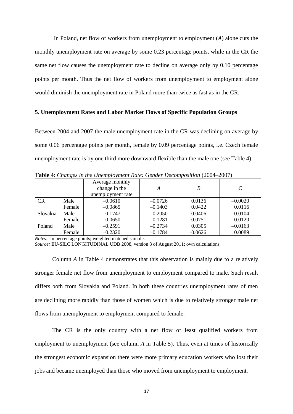In Poland, net flow of workers from unemployment to employment (*A*) alone cuts the monthly unemployment rate on average by some 0.23 percentage points, while in the CR the same net flow causes the unemployment rate to decline on average only by 0.10 percentage points per month. Thus the net flow of workers from unemployment to employment alone would diminish the unemployment rate in Poland more than twice as fast as in the CR.

#### **5. Unemployment Rates and Labor Market Flows of Specific Population Groups**

Between 2004 and 2007 the male unemployment rate in the CR was declining on average by some 0.06 percentage points per month, female by 0.09 percentage points, i.e. Czech female unemployment rate is by one third more downward flexible than the male one (see Table 4).

| <b>Table 4:</b> Changes in the Onempto finem Rate, Ochael Decomposition (2001–2001) |        |                                                       |           |           |           |  |
|-------------------------------------------------------------------------------------|--------|-------------------------------------------------------|-----------|-----------|-----------|--|
|                                                                                     |        | Average monthly<br>change in the<br>unemployment rate | А         | В         | C         |  |
| <b>CR</b>                                                                           | Male   | $-0.0610$                                             | $-0.0726$ | 0.0136    | $-0.0020$ |  |
|                                                                                     | Female | $-0.0865$                                             | $-0.1403$ | 0.0422    | 0.0116    |  |
| Slovakia                                                                            | Male   | $-0.1747$                                             | $-0.2050$ | 0.0406    | $-0.0104$ |  |
|                                                                                     | Female | $-0.0650$                                             | $-0.1281$ | 0.0751    | $-0.0120$ |  |
| Poland                                                                              | Male   | $-0.2591$                                             | $-0.2734$ | 0.0305    | $-0.0163$ |  |
|                                                                                     | Female | $-0.2320$                                             | $-0.1784$ | $-0.0626$ | 0.0089    |  |

**Table 4**: *Changes in the Unemployment Rate: Gender Decomposition* (2004–2007)

*Notes:* In percentage points; weighted matched sample.

*Source:* EU-SILC LONGITUDINAL UDB 2008, version 3 of August 2011; own calculations.

Column *A* in Table 4 demonstrates that this observation is mainly due to a relatively stronger female net flow from unemployment to employment compared to male. Such result differs both from Slovakia and Poland. In both these countries unemployment rates of men are declining more rapidly than those of women which is due to relatively stronger male net flows from unemployment to employment compared to female.

The CR is the only country with a net flow of least qualified workers from employment to unemployment (see column *A* in Table 5). Thus, even at times of historically the strongest economic expansion there were more primary education workers who lost their jobs and became unemployed than those who moved from unemployment to employment.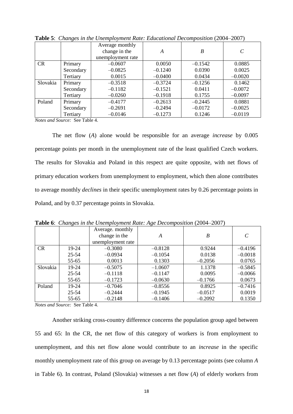|           | $\checkmark$ |                   |           |           |           |
|-----------|--------------|-------------------|-----------|-----------|-----------|
|           |              | Average monthly   |           |           |           |
|           |              | change in the     | A         | B         |           |
|           |              | unemployment rate |           |           |           |
| <b>CR</b> | Primary      | $-0.0607$         | 0.0050    | $-0.1542$ | 0.0885    |
|           | Secondary    | $-0.0825$         | $-0.1240$ | 0.0390    | 0.0025    |
|           | Tertiary     | 0.0015            | $-0.0400$ | 0.0434    | $-0.0020$ |
| Slovakia  | Primary      | $-0.3518$         | $-0.3724$ | $-0.1256$ | 0.1462    |
|           | Secondary    | $-0.1182$         | $-0.1521$ | 0.0411    | $-0.0072$ |
|           | Tertiary     | $-0.0260$         | $-0.1918$ | 0.1755    | $-0.0097$ |
| Poland    | Primary      | $-0.4177$         | $-0.2613$ | $-0.2445$ | 0.0881    |
|           | Secondary    | $-0.2691$         | $-0.2494$ | $-0.0172$ | $-0.0025$ |
|           | Tertiary     | $-0.0146$         | $-0.1273$ | 0.1246    | $-0.0119$ |

**Table 5**: *Changes in the Unemployment Rate: Educational Decomposition* (2004–2007)

*Notes and Source:* See Table 4.

The net flow (*A*) alone would be responsible for an average *increase* by 0.005 percentage points per month in the unemployment rate of the least qualified Czech workers. The results for Slovakia and Poland in this respect are quite opposite, with net flows of primary education workers from unemployment to employment, which then alone contributes to average monthly *declines* in their specific unemployment rates by 0.26 percentage points in Poland, and by 0.37 percentage points in Slovakia.

|           |           | Average. monthly  |           |           |                   |
|-----------|-----------|-------------------|-----------|-----------|-------------------|
|           |           | change in the     | A         | B         | $\mathcal{C}_{0}$ |
|           |           | unemployment rate |           |           |                   |
| <b>CR</b> | 19-24     | $-0.3080$         | $-0.8128$ | 0.9244    | $-0.4196$         |
|           | $25 - 54$ | $-0.0934$         | $-0.1054$ | 0.0138    | $-0.0018$         |
|           | 55-65     | 0.0013            | 0.1303    | $-0.2056$ | 0.0765            |
| Slovakia  | 19-24     | $-0.5075$         | $-1.0607$ | 1.1378    | $-0.5845$         |
|           | 25-54     | $-0.1118$         | $-0.1147$ | 0.0095    | $-0.0066$         |
|           | 55-65     | $-0.1723$         | $-0.0630$ | $-0.1766$ | 0.0673            |
| Poland    | 19-24     | $-0.7046$         | $-0.8556$ | 0.8925    | $-0.7416$         |
|           | 25-54     | $-0.2444$         | $-0.1945$ | $-0.0517$ | 0.0019            |
|           | 55-65     | $-0.2148$         | $-0.1406$ | $-0.2092$ | 0.1350            |

**Table 6**: *Changes in the Unemployment Rate: Age Decomposition* (2004–2007)

*Notes and Source:* See Table 4.

Another striking cross-country difference concerns the population group aged between 55 and 65: In the CR, the net flow of this category of workers is from employment to unemployment, and this net flow alone would contribute to an *increase* in the specific monthly unemployment rate of this group on average by 0.13 percentage points (see column *A* in Table 6). In contrast, Poland (Slovakia) witnesses a net flow (*A*) of elderly workers from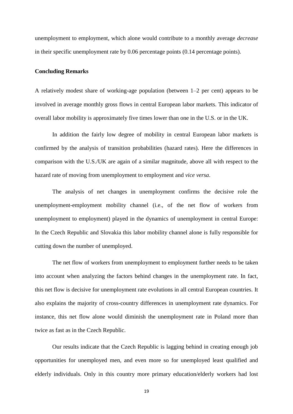unemployment to employment, which alone would contribute to a monthly average *decrease* in their specific unemployment rate by 0.06 percentage points (0.14 percentage points).

#### **Concluding Remarks**

A relatively modest share of working-age population (between 1–2 per cent) appears to be involved in average monthly gross flows in central European labor markets. This indicator of overall labor mobility is approximately five times lower than one in the U.S. or in the UK.

In addition the fairly low degree of mobility in central European labor markets is confirmed by the analysis of transition probabilities (hazard rates). Here the differences in comparison with the U.S./UK are again of a similar magnitude, above all with respect to the hazard rate of moving from unemployment to employment and *vice versa*.

The analysis of net changes in unemployment confirms the decisive role the unemployment-employment mobility channel (i.e., of the net flow of workers from unemployment to employment) played in the dynamics of unemployment in central Europe: In the Czech Republic and Slovakia this labor mobility channel alone is fully responsible for cutting down the number of unemployed.

The net flow of workers from unemployment to employment further needs to be taken into account when analyzing the factors behind changes in the unemployment rate. In fact, this net flow is decisive for unemployment rate evolutions in all central European countries. It also explains the majority of cross-country differences in unemployment rate dynamics. For instance, this net flow alone would diminish the unemployment rate in Poland more than twice as fast as in the Czech Republic.

Our results indicate that the Czech Republic is lagging behind in creating enough job opportunities for unemployed men, and even more so for unemployed least qualified and elderly individuals. Only in this country more primary education/elderly workers had lost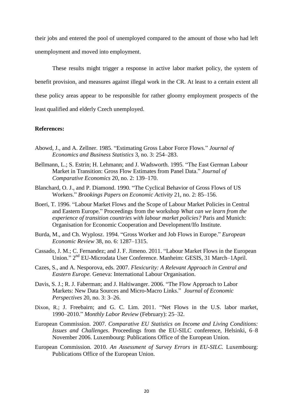their jobs and entered the pool of unemployed compared to the amount of those who had left unemployment and moved into employment.

These results might trigger a response in active labor market policy, the system of benefit provision, and measures against illegal work in the CR. At least to a certain extent all these policy areas appear to be responsible for rather gloomy employment prospects of the least qualified and elderly Czech unemployed.

#### **References:**

- Abowd, J., and A. Zellner. 1985. "Estimating Gross Labor Force Flows." *Journal of Economics and Business Statistics* 3, no. 3: 254–283.
- Bellmann, L.; S. Estrin; H. Lehmann; and J. Wadsworth. 1995. "The East German Labour Market in Transition: Gross Flow Estimates from Panel Data." *Journal of Comparative Economics* 20, no. 2: 139–170.
- Blanchard, O. J., and P. Diamond. 1990. "The Cyclical Behavior of Gross Flows of US Workers." *Brookings Papers on Economic Activity* 21, no. 2: 85–156.
- Boeri, T. 1996. "Labour Market Flows and the Scope of Labour Market Policies in Central and Eastern Europe." Proceedings from the workshop *What can we learn from the experience of transition countries with labour market policies?* Paris and Munich: Organisation for Economic Cooperation and Development/Ifo Institute.
- Burda, M., and Ch. Wyplosz. 1994. "Gross Worker and Job Flows in Europe." *European Economic Review* 38, no. 6: 1287–1315.
- Cassado, J. M.; C. Fernandez; and J. F. Jimeno. 2011. "Labour Market Flows in the European Union." 2<sup>nd</sup> EU-Microdata User Conference. Manheim: GESIS, 31 March-1April.
- Cazes, S., and A. Nesporova, eds. 2007. *Flexicurity: A Relevant Approach in Central and Eastern Europe.* Geneva: International Labour Organisation.
- Davis, S. J.; R. J. Faberman; and J. Haltiwanger. 2006. "The Flow Approach to Labor Markets: New Data Sources and Micro-Macro Links." *Journal of Economic Perspectives* 20, no. 3: 3–26.
- Dixon, R.; J. Freebairn; and G. C. Lim. 2011. "Net Flows in the U.S. labor market, 1990–2010." *Monthly Labor Review* (February): 25–32.
- European Commission. 2007. *Comparative EU Statistics on Income and Living Conditions: Issues and Challenges*. Proceedings from the EU-SILC conference, Helsinki, 6–8 November 2006. Luxembourg: Publications Office of the European Union.
- European Commission. 2010. *An Assessment of Survey Errors in EU-SILC.* Luxembourg: Publications Office of the European Union.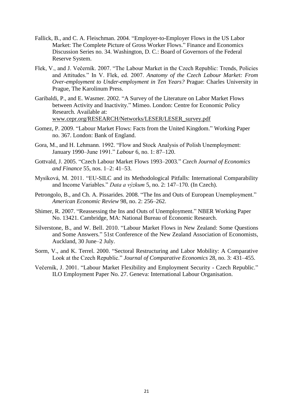- Fallick, B., and C. A. Fleischman. 2004. "Employer-to-Employer Flows in the US Labor Market: The Complete Picture of Gross Worker Flows." Finance and Economics Discussion Series no. 34. Washington, D. C.: Board of Governors of the Federal Reserve System.
- Flek, V., and J. Večerník. 2007. "The Labour Market in the Czech Republic: Trends, Policies and Attitudes." In V. Flek, ed. 2007. Anatomy of the Czech Labour Market: From *Over-employment to Under-employment in Ten Years?* Prague: Charles University in Prague, The Karolinum Press.
- Garibaldi, P., and E. Wasmer. 2002. "A Survey of the Literature on Labor Market Flows between Activity and Inactivity." Mimeo. London: Centre for Economic Policy Research. Available at: [www.cepr.org/RESEARCH/Networks/LESER/LESER\\_survey.pdf](http://www.cepr.org/RESEARCH/Networks/LESER/LESER_survey.pdf)
- Gomez, P. 2009. "Labour Market Flows: Facts from the United Kingdom." Working Paper no. 367. London: Bank of England.
- Gora, M., and H. Lehmann. 1992. "Flow and Stock Analysis of Polish Unemployment: January 1990–June 1991." *Labour* 6, no. 1: 87–120.
- Gottvald, J. 2005. "Czech Labour Market Flows 1993–2003*.*" *Czech Journal of Economics and Finance* 55, nos. 1–2: 41–53.
- Mysíková, M. 2011. "EU-SILC and its Methodological Pitfalls: International Comparability and ncome Variables." *Data a výzkum* 5, no. 2: 147–170. (In Czech).
- Petrongolo, B., and Ch. A. Pissarides. 2008. "The Ins and Outs of European Unemployment." *American Economic Review* 98, no. 2: 256–262.
- Shimer, R. 2007. "Reassessing the Ins and Outs of Unemployment." NBER Working Paper No. 13421. Cambridge, MA: National Bureau of Economic Research.
- Silverstone, B., and W. Bell. 2010. "Labour Market Flows in New Zealand: Some Questions and Some Answers." 51st Conference of the New Zealand Association of Economists, Auckland, 30 June–2 July.
- Sorm, V., and K. Terrel. 2000. "Sectoral Restructuring and Labor Mobility: A Comparative Look at the Czech Republic." *Journal of Comparative Economics* 28, no. 3: 431–455.
- Večerník, J. 2001. "Labour Market Flexibility and Employment Security Czech Republic." ILO Employment Paper No. 27. Geneva: International Labour Organisation.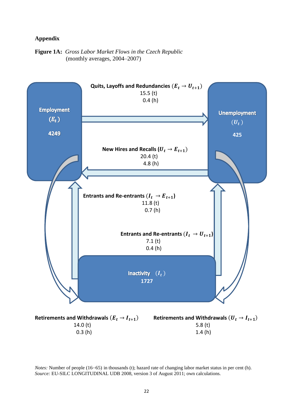#### **Appendix**

#### **Figure 1A:** *Gross Labor Market Flows in the Czech Republic* (monthly averages, 2004–2007)



*Notes:* Number of people (16–65) in thousands (t); hazard rate of changing labor market status in per cent (h). *Source:* EU-SILC LONGITUDINAL UDB 2008, version 3 of August 2011; own calculations.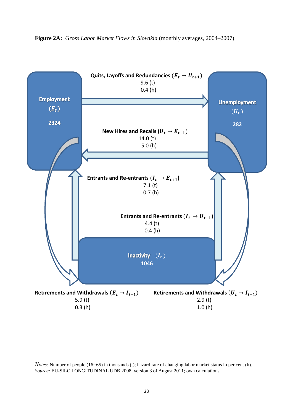

**Figure 2A:** *Gross Labor Market Flows in Slovakia* (monthly averages, 2004–2007)

*Notes:* Number of people (16–65) in thousands (t); hazard rate of changing labor market status in per cent (h). *Source:* EU-SILC LONGITUDINAL UDB 2008, version 3 of August 2011; own calculations.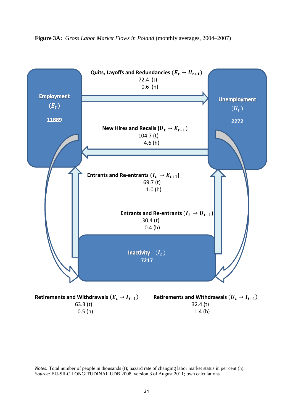

**Figure 3A:** *Gross Labor Market Flows in Poland* (monthly averages, 2004–2007)

*Notes:* Total number of people in thousands (t); hazard rate of changing labor market status in per cent (h). *Source:* EU-SILC LONGITUDINAL UDB 2008, version 3 of August 2011; own calculations.